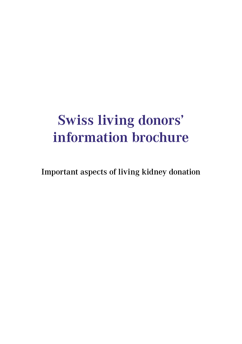## **Swiss living donors' information brochure**

Important aspects of living kidney donation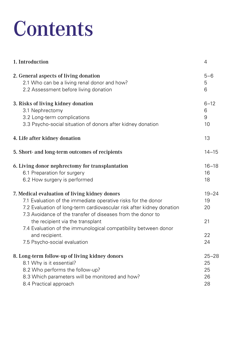# **Contents**

| 1. Introduction                                                                                                                                                                                                                                                                                                                                                                                                 | 4                                       |
|-----------------------------------------------------------------------------------------------------------------------------------------------------------------------------------------------------------------------------------------------------------------------------------------------------------------------------------------------------------------------------------------------------------------|-----------------------------------------|
| 2. General aspects of living donation                                                                                                                                                                                                                                                                                                                                                                           | $5 - 6$                                 |
| 2.1 Who can be a living renal donor and how?                                                                                                                                                                                                                                                                                                                                                                    | 5                                       |
| 2.2 Assessment before living donation                                                                                                                                                                                                                                                                                                                                                                           | 6                                       |
| 3. Risks of living kidney donation                                                                                                                                                                                                                                                                                                                                                                              | $6 - 12$                                |
| 3.1 Nephrectomy                                                                                                                                                                                                                                                                                                                                                                                                 | 6                                       |
| 3.2 Long-term complications                                                                                                                                                                                                                                                                                                                                                                                     | 9                                       |
| 3.3 Psycho-social situation of donors after kidney donation                                                                                                                                                                                                                                                                                                                                                     | 10                                      |
| 4. Life after kidney donation                                                                                                                                                                                                                                                                                                                                                                                   | 13                                      |
| 5. Short- and long-term outcomes of recipients                                                                                                                                                                                                                                                                                                                                                                  | $14 - 15$                               |
| 6. Living donor nephrectomy for transplantation                                                                                                                                                                                                                                                                                                                                                                 | $16 - 18$                               |
| 6.1 Preparation for surgery                                                                                                                                                                                                                                                                                                                                                                                     | 16                                      |
| 6.2 How surgery is performed                                                                                                                                                                                                                                                                                                                                                                                    | 18                                      |
| 7. Medical evaluation of living kidney donors<br>7.1 Evaluation of the immediate operative risks for the donor<br>7.2 Evaluation of long-term cardiovascular risk after kidney donation<br>7.3 Avoidance of the transfer of diseases from the donor to<br>the recipient via the transplant<br>7.4 Evaluation of the immunological compatibility between donor<br>and recipient.<br>7.5 Psycho-social evaluation | $19 - 24$<br>19<br>20<br>21<br>22<br>24 |
| 8. Long-term follow-up of living kidney donors                                                                                                                                                                                                                                                                                                                                                                  | $25 - 28$                               |
| 8.1 Why is it essential?                                                                                                                                                                                                                                                                                                                                                                                        | 25                                      |
| 8.2 Who performs the follow-up?                                                                                                                                                                                                                                                                                                                                                                                 | 25                                      |
| 8.3 Which parameters will be monitored and how?                                                                                                                                                                                                                                                                                                                                                                 | 26                                      |
| 8.4 Practical approach                                                                                                                                                                                                                                                                                                                                                                                          | 28                                      |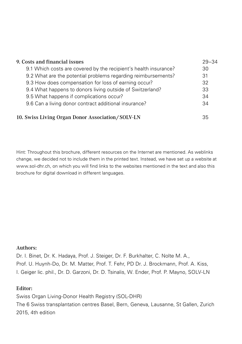| 9. Costs and financial issues                                    | $29 - 34$ |
|------------------------------------------------------------------|-----------|
| 9.1 Which costs are covered by the recipient's health insurance? | 30        |
| 9.2 What are the potential problems regarding reimbursements?    | 31        |
| 9.3 How does compensation for loss of earning occur?             | 32        |
| 9.4 What happens to donors living outside of Switzerland?        | 33        |
| 9.5 What happens if complications occur?                         | 34        |
| 9.6 Can a living donor contract additional insurance?            | 34        |
| 10. Swiss Living Organ Donor Association/SOLV-LN                 | 35        |

Hint: Throughout this brochure, different resources on the Internet are mentioned. As weblinks change, we decided not to include them in the printed text. Instead, we have set up a website at www.sol-dhr.ch, on which you will find links to the websites mentioned in the text and also this brochure for digital download in different languages.

#### Authors:

Dr. I. Binet, Dr. K. Hadaya, Prof. J. Steiger, Dr. F. Burkhalter, C. Nolte M. A., Prof. U. Huynh-Do, Dr. M. Matter, Prof. T. Fehr, PD Dr. J. Brockmann, Prof. A. Kiss, I. Geiger lic. phil., Dr. D. Garzoni, Dr. D. Tsinalis, W. Ender, Prof. P. Mayno, SOLV-LN

#### Editor:

Swiss Organ Living-Donor Health Registry (SOL-DHR) The 6 Swiss transplantation centres Basel, Bern, Geneva, Lausanne, St Gallen, Zurich 2015, 4th edition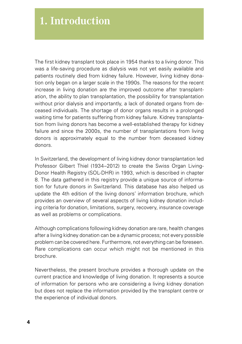The first kidney transplant took place in 1954 thanks to a living donor. This was a life-saving procedure as dialysis was not yet easily available and patients routinely died from kidney failure. However, living kidney donation only began on a larger scale in the 1990s. The reasons for the recent increase in living donation are the improved outcome after transplantation, the ability to plan transplantation, the possibility for transplantation without prior dialysis and importantly, a lack of donated organs from deceased individuals. The shortage of donor organs results in a prolonged waiting time for patients suffering from kidney failure. Kidney transplantation from living donors has become a well-established therapy for kidney failure and since the 2000s, the number of transplantations from living donors is approximately equal to the number from deceased kidney donors.

In Switzerland, the development of living kidney donor transplantation led Professor Gilbert Thiel (1934–2012) to create the Swiss Organ Living-Donor Health Registry (SOL-DHR) in 1993, which is described in chapter 8. The data gathered in this registry provide a unique source of information for future donors in Switzerland. This database has also helped us update the 4th edition of the living donors' information brochure, which provides an overview of several aspects of living kidney donation including criteria for donation, limitations, surgery, recovery, insurance coverage as well as problems or complications.

Although complications following kidney donation are rare, health changes after a living kidney donation can be a dynamic process; not every possible problem can be covered here. Furthermore, not everything can be foreseen. Rare complications can occur which might not be mentioned in this brochure.

Nevertheless, the present brochure provides a thorough update on the current practice and knowledge of living donation. It represents a source of information for persons who are considering a living kidney donation but does not replace the information provided by the transplant centre or the experience of individual donors.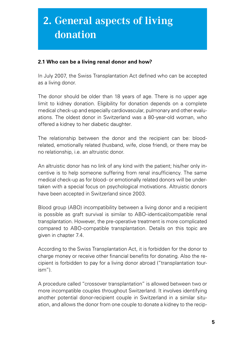### **2. General aspects of living donation**

#### **2.1 Who can be a living renal donor and how?**

In July 2007, the Swiss Transplantation Act defined who can be accepted as a living donor.

The donor should be older than 18 years of age. There is no upper age limit to kidney donation. Eligibility for donation depends on a complete medical check-up and especially cardiovascular, pulmonary and other evaluations. The oldest donor in Switzerland was a 80-year-old woman, who offered a kidney to her diabetic daughter.

The relationship between the donor and the recipient can be: bloodrelated, emotionally related (husband, wife, close friend), or there may be no relationship, i.e. an altruistic donor.

An altruistic donor has no link of any kind with the patient; his/her only incentive is to help someone suffering from renal insufficiency. The same medical check-up as for blood- or emotionally related donors will be undertaken with a special focus on psychological motivations. Altruistic donors have been accepted in Switzerland since 2003.

Blood group (ABO) incompatibility between a living donor and a recipient is possible as graft survival is similar to ABO-identical/compatible renal transplantation. However, the pre-operative treatment is more complicated compared to ABO-compatible transplantation. Details on this topic are given in chapter 7.4.

According to the Swiss Transplantation Act, it is forbidden for the donor to charge money or receive other financial benefits for donating. Also the recipient is forbidden to pay for a living donor abroad ("transplantation tourism").

A procedure called "crossover transplantation" is allowed between two or more incompatible couples throughout Switzerland. It involves identifying another potential donor-recipient couple in Switzerland in a similar situation, and allows the donor from one couple to donate a kidney to the recip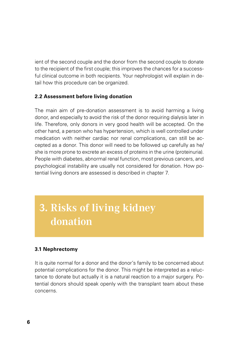ient of the second couple and the donor from the second couple to donate to the recipient of the first couple; this improves the chances for a successful clinical outcome in both recipients. Your nephrologist will explain in detail how this procedure can be organized.

#### **2.2 Assessment before living donation**

The main aim of pre-donation assessment is to avoid harming a living donor, and especially to avoid the risk of the donor requiring dialysis later in life. Therefore, only donors in very good health will be accepted. On the other hand, a person who has hypertension, which is well controlled under medication with neither cardiac nor renal complications, can still be accepted as a donor. This donor will need to be followed up carefully as he/ she is more prone to excrete an excess of proteins in the urine (proteinuria). People with diabetes, abnormal renal function, most previous cancers, and psychological instability are usually not considered for donation. How potential living donors are assessed is described in chapter 7.

### **3. Risks of living kidney donation**

#### **3.1 Nephrectomy**

It is quite normal for a donor and the donor's family to be concerned about potential complications for the donor. This might be interpreted as a reluctance to donate but actually it is a natural reaction to a major surgery. Potential donors should speak openly with the transplant team about these concerns.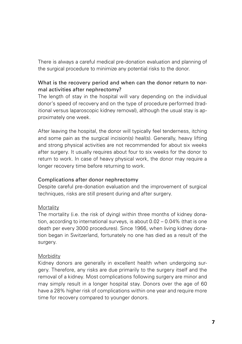There is always a careful medical pre-donation evaluation and planning of the surgical procedure to minimize any potential risks to the donor.

#### What is the recovery period and when can the donor return to normal activities after nephrectomy?

The length of stay in the hospital will vary depending on the individual donor's speed of recovery and on the type of procedure performed (traditional versus laparoscopic kidney removal), although the usual stay is approximately one week.

After leaving the hospital, the donor will typically feel tenderness, itching and some pain as the surgical incision(s) heal(s). Generally, heavy lifting and strong physical activities are not recommended for about six weeks after surgery. It usually requires about four to six weeks for the donor to return to work. In case of heavy physical work, the donor may require a longer recovery time before returning to work.

#### Complications after donor nephrectomy

Despite careful pre-donation evaluation and the improvement of surgical techniques, risks are still present during and after surgery.

#### **Mortality**

The mortality (i.e. the risk of dying) within three months of kidney donation, according to international surveys, is about 0.02 – 0.04% (that is one death per every 3000 procedures). Since 1966, when living kidney donation began in Switzerland, fortunately no one has died as a result of the surgery.

#### Morbidity

Kidney donors are generally in excellent health when undergoing surgery. Therefore, any risks are due primarily to the surgery itself and the removal of a kidney. Most complications following surgery are minor and may simply result in a longer hospital stay. Donors over the age of 60 have a 28% higher risk of complications within one year and require more time for recovery compared to younger donors.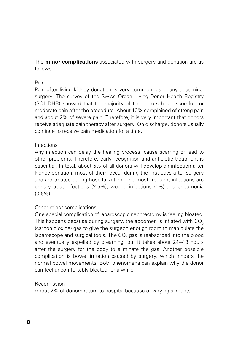The **minor complications** associated with surgery and donation are as follows:

#### Pain

Pain after living kidney donation is very common, as in any abdominal surgery. The survey of the Swiss Organ Living-Donor Health Registry (SOL-DHR) showed that the majority of the donors had discomfort or moderate pain after the procedure. About 10% complained of strong pain and about 2% of severe pain. Therefore, it is very important that donors receive adequate pain therapy after surgery. On discharge, donors usually continue to receive pain medication for a time.

#### Infections

Any infection can delay the healing process, cause scarring or lead to other problems. Therefore, early recognition and antibiotic treatment is essential. In total, about 5% of all donors will develop an infection after kidney donation; most of them occur during the first days after surgery and are treated during hospitalization. The most frequent infections are urinary tract infections (2.5%), wound infections (1%) and pneumonia  $(0.6\%)$ .

#### Other minor complications

One special complication of laparoscopic nephrectomy is feeling bloated. This happens because during surgery, the abdomen is inflated with CO<sub>2</sub> (carbon dioxide) gas to give the surgeon enough room to manipulate the laparoscope and surgical tools. The CO $_{\rm 2}$  gas is reabsorbed into the blood and eventually expelled by breathing, but it takes about 24–48 hours after the surgery for the body to eliminate the gas. Another possible complication is bowel irritation caused by surgery, which hinders the normal bowel movements. Both phenomena can explain why the donor can feel uncomfortably bloated for a while.

#### Readmission

About 2% of donors return to hospital because of varying ailments.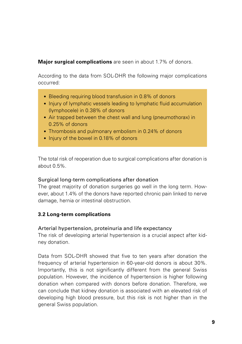#### **Major surgical complications** are seen in about 1.7% of donors.

According to the data from SOL-DHR the following major complications occurred:

- Bleeding requiring blood transfusion in 0.8% of donors
- Injury of lymphatic vessels leading to lymphatic fluid accumulation (lymphocele) in 0.38% of donors
- Air trapped between the chest wall and lung (pneumothorax) in 0.25% of donors
- Thrombosis and pulmonary embolism in 0.24% of donors
- Injury of the bowel in 0.18% of donors

The total risk of reoperation due to surgical complications after donation is about 0.5%.

#### Surgical long-term complications after donation

The great majority of donation surgeries go well in the long term. However, about 1.4% of the donors have reported chronic pain linked to nerve damage, hernia or intestinal obstruction.

#### **3.2 Long-term complications**

#### Arterial hypertension, proteinuria and life expectancy

The risk of developing arterial hypertension is a crucial aspect after kidney donation.

Data from SOL-DHR showed that five to ten years after donation the frequency of arterial hypertension in 60-year-old donors is about 30%. Importantly, this is not significantly different from the general Swiss population. However, the incidence of hypertension is higher following donation when compared with donors before donation. Therefore, we can conclude that kidney donation is associated with an elevated risk of developing high blood pressure, but this risk is not higher than in the general Swiss population.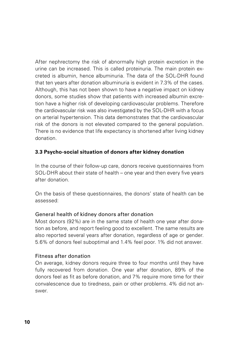After nephrectomy the risk of abnormally high protein excretion in the urine can be increased. This is called proteinuria. The main protein excreted is albumin, hence albuminuria. The data of the SOL-DHR found that ten years after donation albuminuria is evident in 7.3% of the cases. Although, this has not been shown to have a negative impact on kidney donors, some studies show that patients with increased albumin excretion have a higher risk of developing cardiovascular problems. Therefore the cardiovascular risk was also investigated by the SOL-DHR with a focus on arterial hypertension. This data demonstrates that the cardiovascular risk of the donors is not elevated compared to the general population. There is no evidence that life expectancy is shortened after living kidney donation.

#### **3.3 Psycho-social situation of donors after kidney donation**

In the course of their follow-up care, donors receive questionnaires from SOL-DHR about their state of health – one year and then every five years after donation.

On the basis of these questionnaires, the donors' state of health can be assessed:

#### General health of kidney donors after donation

Most donors (92%) are in the same state of health one year after donation as before, and report feeling good to excellent. The same results are also reported several years after donation, regardless of age or gender. 5.6% of donors feel suboptimal and 1.4% feel poor. 1% did not answer.

#### Fitness after donation

On average, kidney donors require three to four months until they have fully recovered from donation. One year after donation, 89% of the donors feel as fit as before donation, and 7% require more time for their convalescence due to tiredness, pain or other problems. 4% did not answer.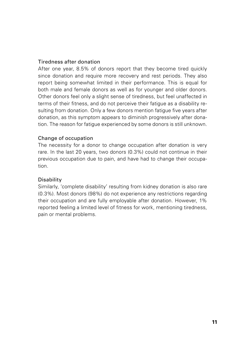#### Tiredness after donation

After one year, 8.5% of donors report that they become tired quickly since donation and require more recovery and rest periods. They also report being somewhat limited in their performance. This is equal for both male and female donors as well as for younger and older donors. Other donors feel only a slight sense of tiredness, but feel unaffected in terms of their fitness, and do not perceive their fatigue as a disability resulting from donation. Only a few donors mention fatigue five years after donation, as this symptom appears to diminish progressively after donation. The reason for fatigue experienced by some donors is still unknown.

#### Change of occupation

The necessity for a donor to change occupation after donation is very rare. In the last 20 years, two donors (0.3%) could not continue in their previous occupation due to pain, and have had to change their occupation.

#### **Disability**

Similarly, 'complete disability' resulting from kidney donation is also rare (0.3%). Most donors (98%) do not experience any restrictions regarding their occupation and are fully employable after donation. However, 1% reported feeling a limited level of fitness for work, mentioning tiredness, pain or mental problems.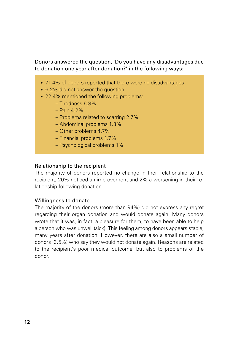Donors answered the question, 'Do you have any disadvantages due to donation one year after donation?' in the following ways:

- 71.4% of donors reported that there were no disadvantages
- 6.2% did not answer the question
- 22.4% mentioned the following problems:
	- Tiredness 6.8%
	- $-$  Pain 4.2%
	- Problems related to scarring 2.7%
	- Abdominal problems 1.3%
	- Other problems 4.7%
	- Financial problems 1.7%
	- Psychological problems 1%

#### Relationship to the recipient

The majority of donors reported no change in their relationship to the recipient; 20% noticed an improvement and 2% a worsening in their relationship following donation.

#### Willingness to donate

The majority of the donors (more than 94%) did not express any regret regarding their organ donation and would donate again. Many donors wrote that it was, in fact, a pleasure for them, to have been able to help a person who was unwell (sick). This feeling among donors appears stable, many years after donation. However, there are also a small number of donors (3.5%) who say they would not donate again. Reasons are related to the recipient's poor medical outcome, but also to problems of the donor.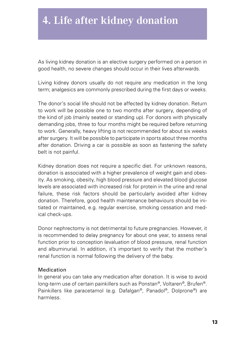### **4. Life after kidney donation**

As living kidney donation is an elective surgery performed on a person in good health, no severe changes should occur in their lives afterwards.

Living kidney donors usually do not require any medication in the long term; analgesics are commonly prescribed during the first days or weeks.

The donor's social life should not be affected by kidney donation. Return to work will be possible one to two months after surgery, depending of the kind of job (mainly seated or standing up). For donors with physically demanding jobs, three to four months might be required before returning to work. Generally, heavy lifting is not recommended for about six weeks after surgery. It will be possible to participate in sports about three months after donation. Driving a car is possible as soon as fastening the safety belt is not painful.

Kidney donation does not require a specific diet. For unknown reasons, donation is associated with a higher prevalence of weight gain and obesity. As smoking, obesity, high blood pressure and elevated blood glucose levels are associated with increased risk for protein in the urine and renal failure, these risk factors should be particularly avoided after kidney donation. Therefore, good health maintenance behaviours should be initiated or maintained, e.g. regular exercise, smoking cessation and medical check-ups.

Donor nephrectomy is not detrimental to future pregnancies. However, it is recommended to delay pregnancy for about one year, to assess renal function prior to conception (evaluation of blood pressure, renal function and albuminuria). In addition, it's important to verify that the mother's renal function is normal following the delivery of the baby.

#### Medication

In general you can take any medication after donation. It is wise to avoid long-term use of certain painkillers such as Ponstan®, Voltaren®, Brufen®. Painkillers like paracetamol (e.g. Dafalgan®, Panadol®, Dolprone®) are harmless.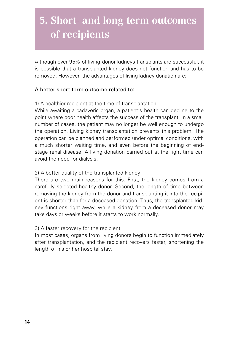### **5. Short- and long-term outcomes of recipients**

Although over 95% of living-donor kidneys transplants are successful, it is possible that a transplanted kidney does not function and has to be removed. However, the advantages of living kidney donation are:

#### A better short-term outcome related to:

1) A healthier recipient at the time of transplantation

While awaiting a cadaveric organ, a patient's health can decline to the point where poor health affects the success of the transplant. In a small number of cases, the patient may no longer be well enough to undergo the operation. Living kidney transplantation prevents this problem. The operation can be planned and performed under optimal conditions, with a much shorter waiting time, and even before the beginning of endstage renal disease. A living donation carried out at the right time can avoid the need for dialysis.

#### 2) A better quality of the transplanted kidney

There are two main reasons for this. First, the kidney comes from a carefully selected healthy donor. Second, the length of time between removing the kidney from the donor and transplanting it into the recipient is shorter than for a deceased donation. Thus, the transplanted kidney functions right away, while a kidney from a deceased donor may take days or weeks before it starts to work normally.

#### 3) A faster recovery for the recipient

In most cases, organs from living donors begin to function immediately after transplantation, and the recipient recovers faster, shortening the length of his or her hospital stay.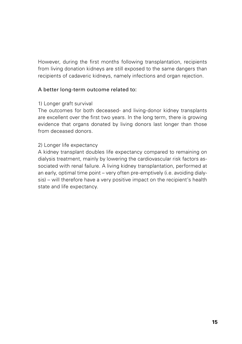However, during the first months following transplantation, recipients from living donation kidneys are still exposed to the same dangers than recipients of cadaveric kidneys, namely infections and organ rejection.

#### A better long-term outcome related to:

#### 1) Longer graft survival

The outcomes for both deceased- and living-donor kidney transplants are excellent over the first two years. In the long term, there is growing evidence that organs donated by living donors last longer than those from deceased donors.

#### 2) Longer life expectancy

A kidney transplant doubles life expectancy compared to remaining on dialysis treatment, mainly by lowering the cardiovascular risk factors associated with renal failure. A living kidney transplantation, performed at an early, optimal time point – very often pre-emptively (i.e. avoiding dialysis) – will therefore have a very positive impact on the recipient's health state and life expectancy.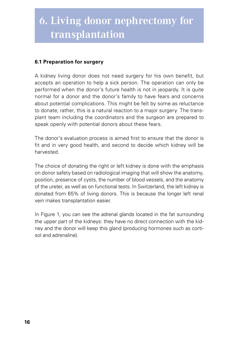### **6. Living donor nephrectomy for transplantation**

#### **6.1 Preparation for surgery**

A kidney living donor does not need surgery for his own benefit, but accepts an operation to help a sick person. The operation can only be performed when the donor's future health is not in jeopardy. It is quite normal for a donor and the donor's family to have fears and concerns about potential complications. This might be felt by some as reluctance to donate; rather, this is a natural reaction to a major surgery. The transplant team including the coordinators and the surgeon are prepared to speak openly with potential donors about these fears.

The donor's evaluation process is aimed first to ensure that the donor is fit and in very good health, and second to decide which kidney will be harvested.

The choice of donating the right or left kidney is done with the emphasis on donor safety based on radiological imaging that will show the anatomy, position, presence of cysts, the number of blood vessels, and the anatomy of the ureter, as well as on functional tests. In Switzerland, the left kidney is donated from 65% of living donors. This is because the longer left renal vein makes transplantation easier.

In Figure 1, you can see the adrenal glands located in the fat surrounding the upper part of the kidneys: they have no direct connection with the kidney and the donor will keep this gland (producing hormones such as cortisol and adrenaline).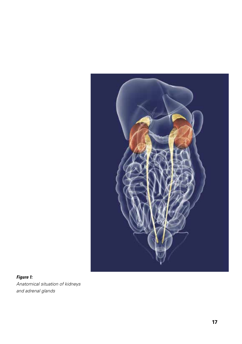

#### *Figure 1: Anatomical situation of kidneys and adrenal glands*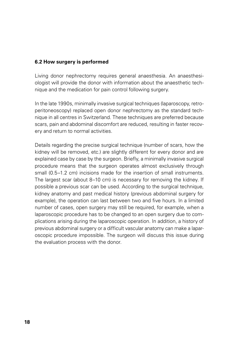#### **6.2 How surgery is performed**

Living donor nephrectomy requires general anaesthesia. An anaesthesiologist will provide the donor with information about the anaesthetic technique and the medication for pain control following surgery.

In the late 1990s, minimally invasive surgical techniques (laparoscopy, retroperitoneoscopy) replaced open donor nephrectomy as the standard technique in all centres in Switzerland. These techniques are preferred because scars, pain and abdominal discomfort are reduced, resulting in faster recovery and return to normal activities.

Details regarding the precise surgical technique (number of scars, how the kidney will be removed, etc.) are slightly different for every donor and are explained case by case by the surgeon. Briefly, a minimally invasive surgical procedure means that the surgeon operates almost exclusively through small (0.5–1.2 cm) incisions made for the insertion of small instruments. The largest scar (about 8–10 cm) is necessary for removing the kidney. If possible a previous scar can be used. According to the surgical technique, kidney anatomy and past medical history (previous abdominal surgery for example), the operation can last between two and five hours. In a limited number of cases, open surgery may still be required, for example, when a laparoscopic procedure has to be changed to an open surgery due to complications arising during the laparoscopic operation. In addition, a history of previous abdominal surgery or a difficult vascular anatomy can make a laparoscopic procedure impossible. The surgeon will discuss this issue during the evaluation process with the donor.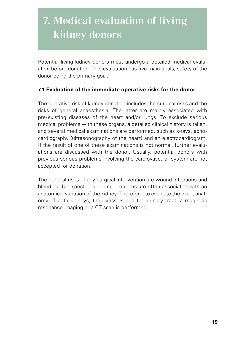### **7. Medical evaluation of living kidney donors**

Potential living kidney donors must undergo a detailed medical evaluation before donation. This evaluation has five main goals, safety of the donor being the primary goal.

#### **7.1 Evaluation of the immediate operative risks for the donor**

The operative risk of kidney donation includes the surgical risks and the risks of general anaesthesia. The latter are mainly associated with pre-existing diseases of the heart and/or lungs. To exclude serious medical problems with these organs, a detailed clinical history is taken, and several medical examinations are performed, such as x-rays, echocardiography (ultrasonography of the heart) and an electrocardiogram. If the result of one of these examinations is not normal, further evaluations are discussed with the donor. Usually, potential donors with previous serious problems involving the cardiovascular system are not accepted for donation.

The general risks of any surgical intervention are wound infections and bleeding. Unexpected bleeding problems are often associated with an anatomical variation of the kidney. Therefore, to evaluate the exact anatomy of both kidneys, their vessels and the urinary tract, a magnetic resonance imaging or a CT scan is performed.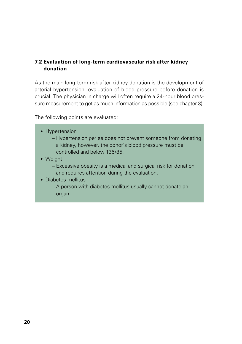#### **7.2 Evaluation of long-term cardiovascular risk after kidney donation**

As the main long-term risk after kidney donation is the development of arterial hypertension, evaluation of blood pressure before donation is crucial. The physician in charge will often require a 24-hour blood pressure measurement to get as much information as possible (see chapter 3).

The following points are evaluated:

- Hypertension
	- Hypertension per se does not prevent someone from donating a kidney, however, the donor's blood pressure must be controlled and below 135/85.
- Weight
	- Excessive obesity is a medical and surgical risk for donation and requires attention during the evaluation.
- Diabetes mellitus
	- A person with diabetes mellitus usually cannot donate an organ.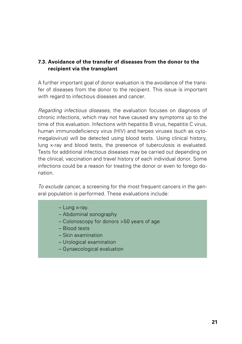#### **7.3. Avoidance of the transfer of diseases from the donor to the recipient via the transplant**

A further important goal of donor evaluation is the avoidance of the transfer of diseases from the donor to the recipient. This issue is important with regard to infectious diseases and cancer.

*Regarding infectious diseases*, the evaluation focuses on diagnosis of chronic infections, which may not have caused any symptoms up to the time of this evaluation. Infections with hepatitis B virus, hepatitis C virus. human immunodeficiency virus (HIV) and herpes viruses (such as cytomegalovirus) will be detected using blood tests. Using clinical history, lung x-ray and blood tests, the presence of tuberculosis is evaluated. Tests for additional infectious diseases may be carried out depending on the clinical, vaccination and travel history of each individual donor. Some infections could be a reason for treating the donor or even to forego donation.

*To exclude cancer*, a screening for the most frequent cancers in the general population is performed. These evaluations include:

- Lung x-ray.
- Abdominal sonography
- Colonoscopy for donors >50 years of age
- Blood tests
- Skin examination
- Urological examination
- Gynaecological evaluation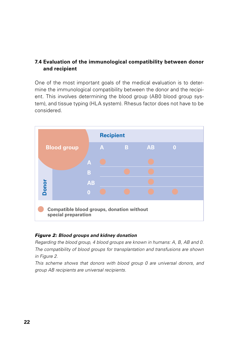#### **7.4 Evaluation of the immunological compatibility between donor and recipient**

One of the most important goals of the medical evaluation is to determine the immunological compatibility between the donor and the recipient. This involves determining the blood group (AB0 blood group system), and tissue typing (HLA system). Rhesus factor does not have to be considered.



#### *Figure 2: Blood groups and kidney donation*

*Regarding the blood group, 4 blood groups are known in humans: A, B, AB and 0. The compatibility of blood groups for transplantation and transfusions are shown in Figure 2.*

*This scheme shows that donors with blood group 0 are universal donors, and group AB recipients are universal recipients.*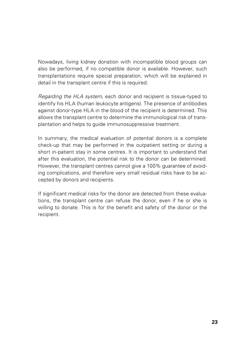Nowadays, living kidney donation with incompatible blood groups can also be performed, if no compatible donor is available. However, such transplantations require special preparation, which will be explained in detail in the transplant centre if this is required.

*Regarding the HLA system*, each donor and recipient is tissue-typed to identify his HLA (human leukocyte antigens). The presence of antibodies against donor-type HLA in the blood of the recipient is determined. This allows the transplant centre to determine the immunological risk of transplantation and helps to guide immunosuppressive treatment.

In summary, the medical evaluation of potential donors is a complete check-up that may be performed in the outpatient setting or during a short in-patient stay in some centres. It is important to understand that after this evaluation, the potential risk to the donor can be determined. However, the transplant centres cannot give a 100% guarantee of avoiding complications, and therefore very small residual risks have to be accepted by donors and recipients.

If significant medical risks for the donor are detected from these evaluations, the transplant centre can refuse the donor, even if he or she is willing to donate. This is for the benefit and safety of the donor or the recipient.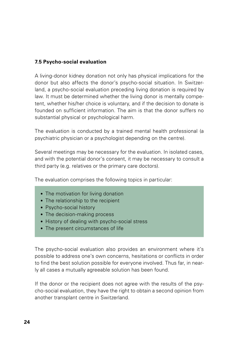#### **7.5 Psycho-social evaluation**

A living-donor kidney donation not only has physical implications for the donor but also affects the donor's psycho-social situation. In Switzerland, a psycho-social evaluation preceding living donation is required by law. It must be determined whether the living donor is mentally competent, whether his/her choice is voluntary, and if the decision to donate is founded on sufficient information. The aim is that the donor suffers no substantial physical or psychological harm.

The evaluation is conducted by a trained mental health professional (a psychiatric physician or a psychologist depending on the centre).

Several meetings may be necessary for the evaluation. In isolated cases, and with the potential donor's consent, it may be necessary to consult a third party (e.g. relatives or the primary care doctors).

The evaluation comprises the following topics in particular:

- The motivation for living donation
- The relationship to the recipient
- Psycho-social history
- The decision-making process
- History of dealing with psycho-social stress
- The present circumstances of life

The psycho-social evaluation also provides an environment where it's possible to address one's own concerns, hesitations or conflicts in order to find the best solution possible for everyone involved. Thus far, in nearly all cases a mutually agreeable solution has been found.

If the donor or the recipient does not agree with the results of the psycho-social evaluation, they have the right to obtain a second opinion from another transplant centre in Switzerland.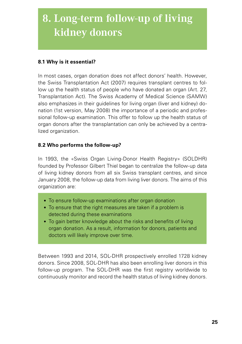### **8. Long-term follow-up of living kidney donors**

#### **8.1 Why is it essential?**

In most cases, organ donation does not affect donors' health. However, the Swiss Transplantation Act (2007) requires transplant centres to follow up the health status of people who have donated an organ (Art. 27, Transplantation Act). The Swiss Academy of Medical Science (SAMW) also emphasizes in their guidelines for living organ (liver and kidney) donation (1st version, May 2008) the importance of a periodic and professional follow-up examination. This offer to follow up the health status of organ donors after the transplantation can only be achieved by a centralized organization.

#### **8.2 Who performs the follow-up?**

In 1993, the «Swiss Organ Living-Donor Health Registry» (SOLDHR) founded by Professor Gilbert Thiel began to centralize the follow-up data of living kidney donors from all six Swiss transplant centres, and since January 2008, the follow-up data from living liver donors. The aims of this organization are:

- To ensure follow-up examinations after organ donation
- To ensure that the right measures are taken if a problem is detected during these examinations
- To gain better knowledge about the risks and benefits of living organ donation. As a result, information for donors, patients and doctors will likely improve over time.

Between 1993 and 2014, SOL-DHR prospectively enrolled 1728 kidney donors. Since 2008, SOL-DHR has also been enrolling liver donors in this follow-up program. The SOL-DHR was the first registry worldwide to continuously monitor and record the health status of living kidney donors.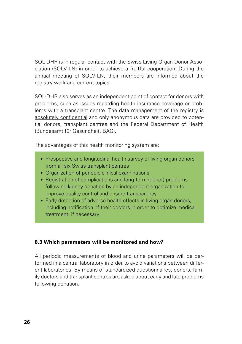SOL-DHR is in regular contact with the Swiss Living Organ Donor Association (SOLV-LN) in order to achieve a fruitful cooperation. During the annual meeting of SOLV-LN, their members are informed about the registry work and current topics.

SOL-DHR also serves as an independent point of contact for donors with problems, such as issues regarding health insurance coverage or problems with a transplant centre. The data management of the registry is absolutely confidential and only anonymous data are provided to potential donors, transplant centres and the Federal Department of Health (Bundesamt für Gesundheit, BAG).

The advantages of this health monitoring system are:

- Prospective and longitudinal health survey of living organ donors from all six Swiss transplant centres
- Organization of periodic clinical examinations
- Registration of complications and long-term (donor) problems following kidney donation by an independent organization to improve quality control and ensure transparency
- Early detection of adverse health effects in living organ donors, including notification of their doctors in order to optimize medical treatment, if necessary

#### **8.3 Which parameters will be monitored and how?**

All periodic measurements of blood and urine parameters will be performed in a central laboratory in order to avoid variations between different laboratories. By means of standardized questionnaires, donors, family doctors and transplant centres are asked about early and late problems following donation.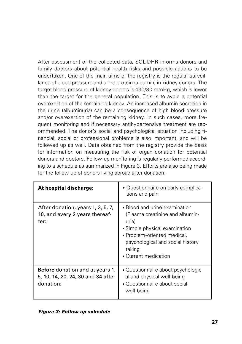After assessment of the collected data, SOL-DHR informs donors and family doctors about potential health risks and possible actions to be undertaken. One of the main aims of the registry is the regular surveillance of blood pressure and urine protein (albumin) in kidney donors. The target blood pressure of kidney donors is 130/80 mmHg, which is lower than the target for the general population. This is to avoid a potential overexertion of the remaining kidney. An increased albumin secretion in the urine (albuminuria) can be a consequence of high blood pressure and/or overexertion of the remaining kidney. In such cases, more frequent monitoring and if necessary antihypertensive treatment are recommended. The donor's social and psychological situation including financial, social or professional problems is also important, and will be followed up as well. Data obtained from the registry provide the basis for information on measuring the risk of organ donation for potential donors and doctors. Follow-up monitoring is regularly performed according to a schedule as summarized in Figure 3. Efforts are also being made for the follow-up of donors living abroad after donation.

| At hospital discharge:                                                                    | • Questionnaire on early complica-<br>tions and pain                                                                                                                                                            |
|-------------------------------------------------------------------------------------------|-----------------------------------------------------------------------------------------------------------------------------------------------------------------------------------------------------------------|
| After donation, years 1, 3, 5, 7,<br>10, and every 2 years thereaf-<br>ter:               | • Blood and urine examination<br>(Plasma creatinine and albumin-<br>uria)<br>• Simple physical examination<br>• Problem-oriented medical.<br>psychological and social history<br>taking<br>• Current medication |
| <b>Before</b> donation and at years 1,<br>5, 10, 14, 20, 24, 30 and 34 after<br>donation: | • Questionnaire about psychologic-<br>al and physical well-being<br>• Questionnaire about social<br>well-being                                                                                                  |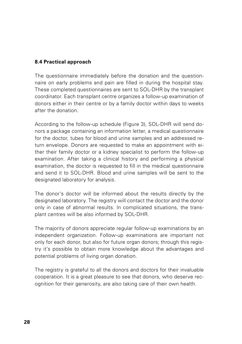#### **8.4 Practical approach**

The questionnaire immediately before the donation and the questionnaire on early problems and pain are filled in during the hospital stay. These completed questionnaires are sent to SOL-DHR by the transplant coordinator. Each transplant centre organizes a follow-up examination of donors either in their centre or by a family doctor within days to weeks after the donation.

According to the follow-up schedule (Figure 3), SOL-DHR will send donors a package containing an information letter, a medical questionnaire for the doctor, tubes for blood and urine samples and an addressed return envelope. Donors are requested to make an appointment with either their family doctor or a kidney specialist to perform the follow-up examination. After taking a clinical history and performing a physical examination, the doctor is requested to fill in the medical questionnaire and send it to SOL-DHR. Blood and urine samples will be sent to the designated laboratory for analysis.

The donor's doctor will be informed about the results directly by the designated laboratory. The registry will contact the doctor and the donor only in case of abnormal results. In complicated situations, the transplant centres will be also informed by SOL-DHR.

The majority of donors appreciate regular follow-up examinations by an independent organization. Follow-up examinations are important not only for each donor, but also for future organ donors; through this registry it's possible to obtain more knowledge about the advantages and potential problems of living organ donation.

The registry is grateful to all the donors and doctors for their invaluable cooperation. It is a great pleasure to see that donors, who deserve recognition for their generosity, are also taking care of their own health.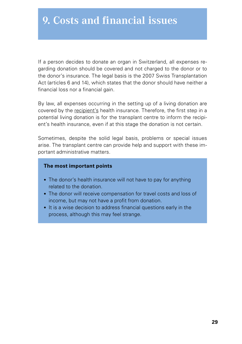If a person decides to donate an organ in Switzerland, all expenses regarding donation should be covered and not charged to the donor or to the donor's insurance. The legal basis is the 2007 Swiss Transplantation Act (articles 6 and 14), which states that the donor should have neither a financial loss nor a financial gain.

By law, all expenses occurring in the setting up of a living donation are covered by the recipient's health insurance. Therefore, the first step in a potential living donation is for the transplant centre to inform the recipient's health insurance, even if at this stage the donation is not certain.

Sometimes, despite the solid legal basis, problems or special issues arise. The transplant centre can provide help and support with these important administrative matters.

#### **The most important points**

- The donor's health insurance will not have to pay for anything related to the donation.
- The donor will receive compensation for travel costs and loss of income, but may not have a profit from donation.
- It is a wise decision to address financial questions early in the process, although this may feel strange.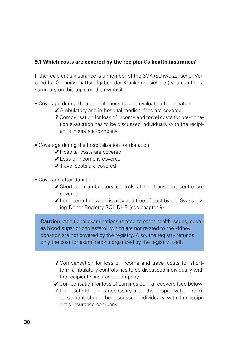#### **9.1 Which costs are covered by the recipient's health insurance?**

If the recipient's insurance is a member of the SVK (Schweizerischer Verband für Gemeinschaftsaufgaben der Krankenversicherer) you can find a summary on this topic on their website

- Coverage during the medical check-up and evaluation for donation:
	- ◆ Ambulatory and in-hospital medical fees are covered
	- **?** Compensation for loss of income and travel costs for pre-donation evaluation has to be discussed individually with the recipient's insurance company
- Coverage during the hospitalization for donation:
	- ◆ Hospital costs are covered
	- Loss of income is covered
	- ◆ Travel costs are covered
- Coverage after donation:
	- ◆ Short-term ambulatory controls at the transplant centre are covered
	- Long-term follow-up is provided free of cost by the Swiss Living-Donor Registry SOL-DHR (see chapter 8)

**Caution:** Additional examinations related to other health issues, such as blood sugar or cholesterol, which are not related to the kidney donation are not covered by the registry. Also, the registry refunds only the cost for examinations organized by the registry itself.

- **?** Compensation for loss of income and travel costs for shortterm ambulatory controls has to be discussed individually with the recipient's insurance company
- Compensation for loss of earnings during recovery (see below)
- **?** If household help is necessary after the hospitalization, reimbursement should be discussed individually with the recipient's insurance company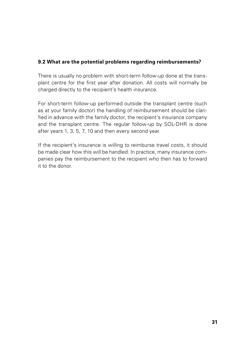#### **9.2 What are the potential problems regarding reimbursements?**

There is usually no problem with short-term follow-up done at the transplant centre for the first year after donation. All costs will normally be charged directly to the recipient's health insurance.

For short-term follow-up performed outside the transplant centre (such as at your family doctor) the handling of reimbursement should be clarified in advance with the family doctor, the recipient's insurance company and the transplant centre. The regular follow-up by SOL-DHR is done after years 1, 3, 5, 7, 10 and then every second year.

If the recipient's insurance is willing to reimburse travel costs, it should be made clear how this will be handled. In practice, many insurance companies pay the reimbursement to the recipient who then has to forward it to the donor.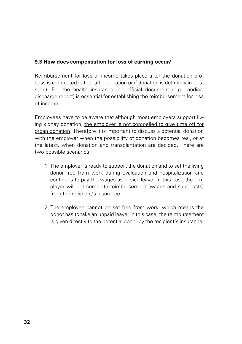#### **9.3 How does compensation for loss of earning occur?**

Reimbursement for loss of income takes place after the donation process is completed (either after donation or if donation is definitely impossible). For the health insurance, an official document (e.g. medical discharge report) is essential for establishing the reimbursement for loss of income.

Employees have to be aware that although most employers support living kidney donation, the employer is not compelled to give time off for organ donation. Therefore it is important to discuss a potential donation with the employer when the possibility of donation becomes real, or at the latest, when donation and transplantation are decided. There are two possible scenarios:

- 1. The employer is ready to support the donation and to set the living donor free from work during evaluation and hospitalization and continues to pay the wages as in sick leave. In this case the employer will get complete reimbursement (wages and side-costs) from the recipient's insurance.
- 2. The employee cannot be set free from work, which means the donor has to take an unpaid leave. In this case, the reimbursement is given directly to the potential donor by the recipient's insurance.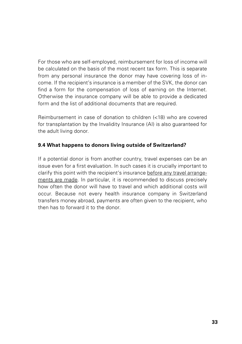For those who are self-employed, reimbursement for loss of income will be calculated on the basis of the most recent tax form. This is separate from any personal insurance the donor may have covering loss of income. If the recipient's insurance is a member of the SVK, the donor can find a form for the compensation of loss of earning on the Internet. Otherwise the insurance company will be able to provide a dedicated form and the list of additional documents that are required.

Reimbursement in case of donation to children (<18) who are covered for transplantation by the Invalidity Insurance (AI) is also guaranteed for the adult living donor.

#### **9.4 What happens to donors living outside of Switzerland?**

If a potential donor is from another country, travel expenses can be an issue even for a first evaluation. In such cases it is crucially important to clarify this point with the recipient's insurance before any travel arrangements are made. In particular, it is recommended to discuss precisely how often the donor will have to travel and which additional costs will occur. Because not every health insurance company in Switzerland transfers money abroad, payments are often given to the recipient, who then has to forward it to the donor.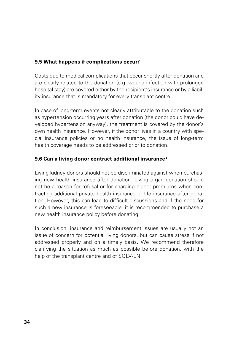#### **9.5 What happens if complications occur?**

Costs due to medical complications that occur shortly after donation and are clearly related to the donation (e.g. wound infection with prolonged hospital stay) are covered either by the recipient's insurance or by a liability insurance that is mandatory for every transplant centre.

In case of long-term events not clearly attributable to the donation such as hypertension occurring years after donation (the donor could have developed hypertension anyway), the treatment is covered by the donor's own health insurance. However, if the donor lives in a country with special insurance policies or no health insurance, the issue of long-term health coverage needs to be addressed prior to donation.

#### **9.6 Can a living donor contract additional insurance?**

Living kidney donors should not be discriminated against when purchasing new health insurance after donation. Living organ donation should not be a reason for refusal or for charging higher premiums when contracting additional private health insurance or life insurance after donation. However, this can lead to difficult discussions and if the need for such a new insurance is foreseeable, it is recommended to purchase a new health insurance policy before donating.

In conclusion, insurance and reimbursement issues are usually not an issue of concern for potential living donors, but can cause stress if not addressed properly and on a timely basis. We recommend therefore clarifying the situation as much as possible before donation, with the help of the transplant centre and of SOLV-LN.